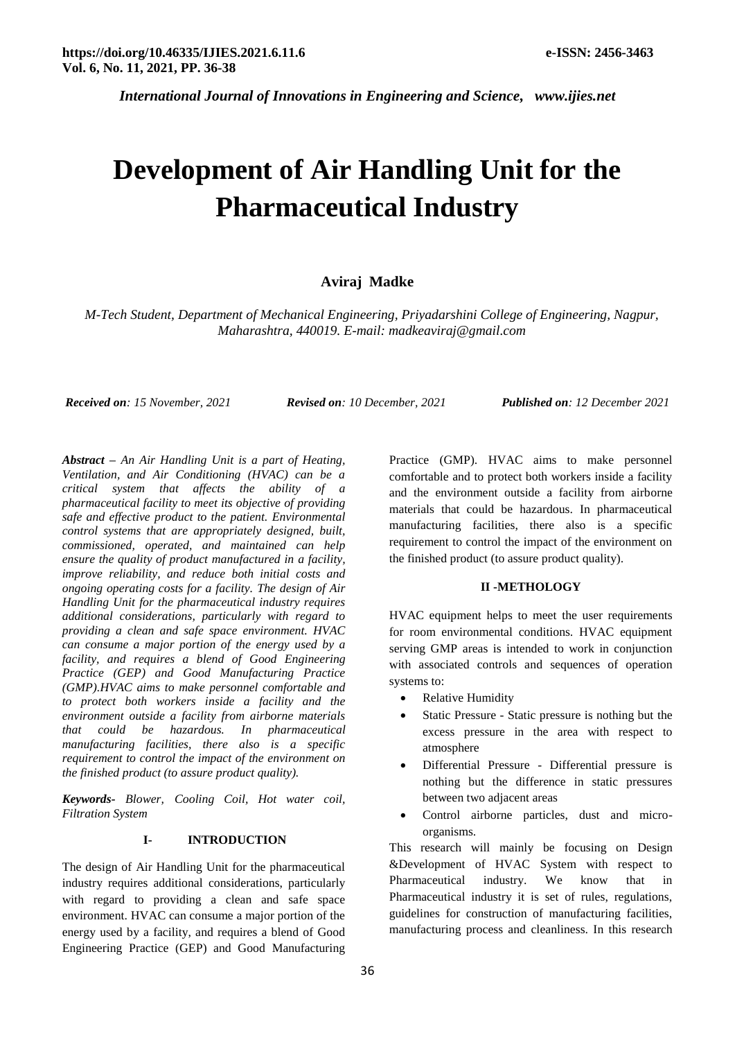*International Journal of Innovations in Engineering and Science, www.ijies.net*

# **Development of Air Handling Unit for the Pharmaceutical Industry**

# **Aviraj Madke**

*M-Tech Student, Department of Mechanical Engineering, Priyadarshini College of Engineering, Nagpur, Maharashtra, 440019. E-mail: madkeaviraj@gmail.com*

*Received on: 15 November, 2021 Revised on: 10 December, 2021 Published on: 12 December 2021*

*Abstract – An Air Handling Unit is a part of Heating, Ventilation, and Air Conditioning (HVAC) can be a critical system that affects the ability of a pharmaceutical facility to meet its objective of providing safe and effective product to the patient. Environmental control systems that are appropriately designed, built, commissioned, operated, and maintained can help ensure the quality of product manufactured in a facility, improve reliability, and reduce both initial costs and ongoing operating costs for a facility. The design of Air Handling Unit for the pharmaceutical industry requires additional considerations, particularly with regard to providing a clean and safe space environment. HVAC can consume a major portion of the energy used by a facility, and requires a blend of Good Engineering Practice (GEP) and Good Manufacturing Practice (GMP).HVAC aims to make personnel comfortable and to protect both workers inside a facility and the environment outside a facility from airborne materials that could be hazardous. In pharmaceutical manufacturing facilities, there also is a specific requirement to control the impact of the environment on the finished product (to assure product quality).*

*Keywords- Blower, Cooling Coil, Hot water coil, Filtration System*

## **I- INTRODUCTION**

The design of Air Handling Unit for the pharmaceutical industry requires additional considerations, particularly with regard to providing a clean and safe space environment. HVAC can consume a major portion of the energy used by a facility, and requires a blend of Good Engineering Practice (GEP) and Good Manufacturing

Practice (GMP). HVAC aims to make personnel comfortable and to protect both workers inside a facility and the environment outside a facility from airborne materials that could be hazardous. In pharmaceutical manufacturing facilities, there also is a specific requirement to control the impact of the environment on the finished product (to assure product quality).

# **II -METHOLOGY**

HVAC equipment helps to meet the user requirements for room environmental conditions. HVAC equipment serving GMP areas is intended to work in conjunction with associated controls and sequences of operation systems to:

- Relative Humidity
- Static Pressure Static pressure is nothing but the excess pressure in the area with respect to atmosphere
- Differential Pressure Differential pressure is nothing but the difference in static pressures between two adjacent areas
- Control airborne particles, dust and microorganisms.

This research will mainly be focusing on Design &Development of HVAC System with respect to Pharmaceutical industry. We know that in Pharmaceutical industry it is set of rules, regulations, guidelines for construction of manufacturing facilities, manufacturing process and cleanliness. In this research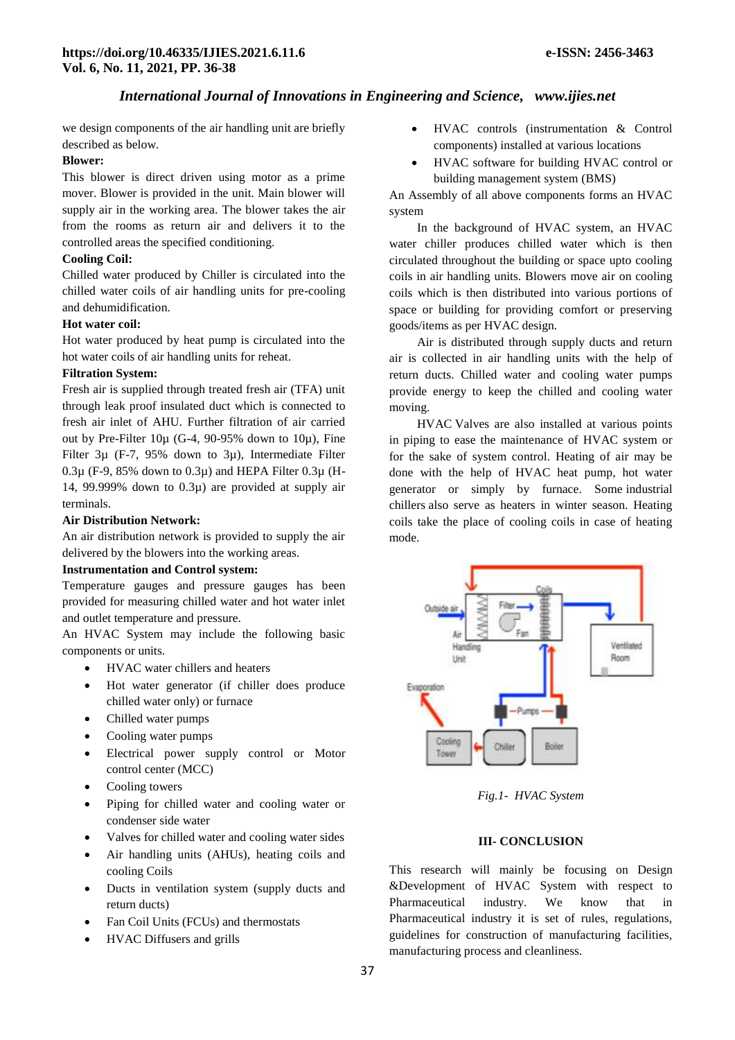# *International Journal of Innovations in Engineering and Science, www.ijies.net*

we design components of the air handling unit are briefly described as below.

# **Blower:**

This blower is direct driven using motor as a prime mover. Blower is provided in the unit. Main blower will supply air in the working area. The blower takes the air from the rooms as return air and delivers it to the controlled areas the specified conditioning.

#### **Cooling Coil:**

Chilled water produced by Chiller is circulated into the chilled water coils of air handling units for pre-cooling and dehumidification.

## **Hot water coil:**

Hot water produced by heat pump is circulated into the hot water coils of air handling units for reheat.

## **Filtration System:**

Fresh air is supplied through treated fresh air (TFA) unit through leak proof insulated duct which is connected to fresh air inlet of AHU. Further filtration of air carried out by Pre-Filter  $10\mu$  (G-4, 90-95% down to  $10\mu$ ), Fine Filter 3µ (F-7, 95% down to 3µ), Intermediate Filter  $0.3\mu$  (F-9, 85% down to  $0.3\mu$ ) and HEPA Filter  $0.3\mu$  (H-14, 99.999% down to  $0.3\mu$ ) are provided at supply air terminals.

## **Air Distribution Network:**

An air distribution network is provided to supply the air delivered by the blowers into the working areas.

#### **Instrumentation and Control system:**

Temperature gauges and pressure gauges has been provided for measuring chilled water and hot water inlet and outlet temperature and pressure.

An HVAC System may include the following basic components or units.

- [HVAC water chillers](https://instrumentationtools.com/absorption-chiller-principle/) and heaters
- Hot water generator (if chiller does produce chilled water only) or furnace
- Chilled water pumps
- Cooling water pumps
- Electrical power supply control or Motor control center (MCC)
- Cooling towers
- Piping for chilled water and cooling water or condenser side water
- Valves for chilled water and cooling water sides
- Air handling units (AHUs), heating coils and cooling Coils
- Ducts in ventilation system (supply ducts and return ducts)
- Fan Coil Units (FCUs) and thermostats
- HVAC Diffusers and grills
- HVAC controls (instrumentation & Control components) installed at various locations
- HVAC software for building HVAC control or building management system (BMS)

An Assembly of all above components forms an HVAC system

In the background of HVAC system, an HVAC water chiller produces chilled water which is then circulated throughout the building or space upto cooling coils in air handling units. Blowers move air on cooling coils which is then distributed into various portions of space or building for providing comfort or preserving goods/items as per HVAC design.

Air is distributed through supply ducts and return air is collected in air handling units with the help of return ducts. Chilled water and cooling water pumps provide energy to keep the chilled and cooling water moving.

[HVAC](https://instrumentationforum.com/tags/hvac) Valves are also installed at various points in piping to ease the maintenance of HVAC system or for the sake of system control. Heating of air may be done with the help of HVAC heat pump, hot water generator or simply by furnace. Some [industrial](https://instrumentationtools.com/capacity-control-of-absorption-chillers/)  [chillers](https://instrumentationtools.com/capacity-control-of-absorption-chillers/) also serve as heaters in winter season. Heating coils take the place of cooling coils in case of heating mode.



*Fig.1- HVAC System*

### **III- CONCLUSION**

This research will mainly be focusing on Design &Development of HVAC System with respect to Pharmaceutical industry. We know that in Pharmaceutical industry it is set of rules, regulations, guidelines for construction of manufacturing facilities, manufacturing process and cleanliness.